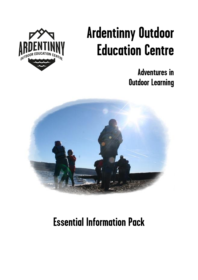

# **Ardentinny Outdoor Education Centre**

**Adventures in Outdoor Learning**



## **Essential Information Pack**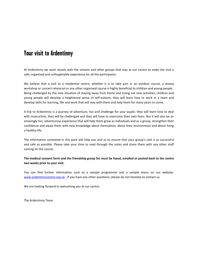## **Your visit to Ardentinny**

At Ardentinny we work closely with the schools and other groups that stay at our centre to make the visit a safe, organised and unforgettable experience for all the participants.

We believe that a visit to a residential centre, whether it is to take part in an outdoor course, a drama workshop or concert rehearsal or any other organised course is highly beneficial to children and young people. Being challenged by the new situation of staying away from home and trying out new activities, children and young people will develop a heightened sense of self-esteem, they will learn how to work in a team and develop skills for learning, life and work that will stay with them and help them for many years to come.

A trip to Ardentinny is a journey of adventure, fun and challenge for your pupils: they will learn how to deal with insecurities, they will be challenged and they will have to overcome their own fears. But it will also be an amazingly fun, adventurous experience that will help them grow as individuals and as a group, strengthen their confidence and equip them with new knowledge about themselves, about their environment and about living a healthy life.

The information contained in this pack will help you and us to ensure that your group's visit is as successful and safe as possible. Please take your time to read through the notes and share them with any other staff coming on the course.

#### **The medical consent form and the friendship group list must be faxed, emailed or posted back to the centre two weeks prior to your visit.**

You can find further information such as a sample programme and a sample menu on our website: [www.ardentinnycentre.org.uk](http://www.ardentinnycentre.org.uk/) . If you have any other questions, please do not hesitate to contact us.

We are looking forward to welcoming you at our centre,

The Ardentinny Team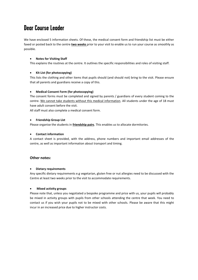## **Dear Course Leader**

We have enclosed 5 information sheets. Of these, the medical consent form and friendship list must be either faxed or posted back to the centre **two weeks** prior to your visit to enable us to run your course as smoothly as possible.

#### **Notes for Visiting Staff**

This explains the routines at the centre. It outlines the specific responsibilities and roles of visiting staff.

#### **Kit List (for photocopying)**

This lists the clothing and other items that pupils should (and should not) bring to the visit. Please ensure that all parents and guardians receive a copy of this.

#### **Medical Consent Form (for photocopying)**

The consent forms must be completed and signed by parents / guardians of every student coming to the centre. We cannot take students without this medical information. All students under the age of 18 must have adult consent before the visit.

All staff must also complete a medical consent form.

#### **Friendship Group List**

Please organise the students in **friendship pairs**. This enables us to allocate dormitories.

#### **Contact information**

A contact sheet is provided, with the address, phone numbers and important email addresses of the centre, as well as important information about transport and timing.

#### **Other notes:**

#### **Dietary requirements**

Any specific dietary requirements e.g vegetarian, gluten free or nut allergies need to be discussed with the Centre at least two weeks prior to the visit to accommodate requirements.

#### **Mixed activity groups**

Please note that, unless you negotiated a bespoke programme and price with us, your pupils will probably be mixed in activity groups with pupils from other schools attending the centre that week. You need to contact us if you wish your pupils not to be mixed with other schools. Please be aware that this might incur in an increased price due to higher instructor costs.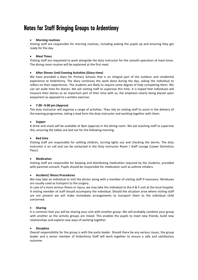## **Notes for Staff Bringing Groups to Ardentinny**

#### **Morning routines**

Visiting staff are responsible for morning routines, including waking the pupils up and ensuring they get ready for the day.

#### **Meal Times**

Visiting staff are requested to work alongside the duty instructor for the smooth operation of meal times. The dining room routine will be explained at the first meal.

#### **After Dinner Until Evening Activities (Diary-time)**

We have provided a diary for Primary Schools that is an integral part of the outdoor and residential experience at Ardentinny. The diary continues the work done during the day, asking the individual to reflect on their experiences. The students are likely to require some degree of help completing them. We can set aside time for diaries. We ask visiting staff to supervise this time. It is hoped that individuals will treasure their diaries as an important part of their time with us, the emphasis clearly being placed upon enjoyment as opposed to a written exercise.

#### **7.00 –9.00 pm (Approx)**

The duty instructor will organise a range of activities. They rely on visiting staff to assist in the delivery of the evening programme, taking a lead form the duty instructor and working together with them.

#### **Supper**

A drink and snack will be available at 9pm (approx) in the dining room. We ask teaching staff to supervise this, ensuring the tables are laid out for the following morning.

#### **Bed time**

Visiting staff are responsible for settling children, turning lights out and checking the dorms. The duty instructor is on call and can be contacted in the Duty Instructor Room / Staff Lounge (Lower Dormitory Floor).

#### **Medication**

Visiting staff are responsible for keeping and distributing medication required by the students, provided with parental consent. Pupils should be responsible for medication such as asthma inhalers.

#### **Accident/ Illness Procedures**

We may take an individual to visit the doctor along with a member of visiting staff if necessary. Minibuses are usually used as transport to the surgery.

In case of a more serious illness or injury, we may take the individual to the A & E unit at the local hospital. A visiting member of staff should accompany the individual. Should the situation arise where visiting staff are not present we will make immediate arrangements to transport them to the individual child concerned.

#### **Sharing**

It is common that you will be sharing your visit with another group. We will probably combine your group with another so the activity groups are mixed. This enables the pupils to meet new friends, build new relationships and explore new ways of working together.

#### **Discipline**

Overall responsibility for the group is with the party leader. Should there be any serious issues, the group leader and a senior member of Ardentinny Staff will work together to ensure a safe and satisfactory outcome.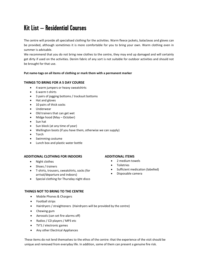## **Kit List – Residential Courses**

The centre will provide all specialised clothing for the activities. Warm fleece jackets, balaclavas and gloves can be provided, although sometimes it is more comfortable for you to bring your own. Warm clothing even in summer is advisable.

We recommend that you do not bring new clothes to the centre, they may end up damaged and will certainly get dirty if used on the activities. Denim fabric of any sort is not suitable for outdoor activities and should not be brought for that use.

#### **Put name-tags on all items of clothing or mark them with a permanent marker**

#### **THINGS TO BRING FOR A 5 DAY COURSE**

- 4 warm jumpers or heavy sweatshirts
- 6 warm t-shirts
- 3 pairs of jogging bottoms / tracksuit bottoms
- Hat and gloves
- 10 pairs of thick socks
- Underwear
- Old trainers that can get wet
- Midge hood (May October)
- Sun hat
- Sun block (at any time of year)
- Wellington boots (if you have them, otherwise we can supply)
- Torch
- Swimming costume
- Lunch box and plastic water bottle

#### **ADDITIONAL CLOTHING FOR INDOORS**

- Night clothes
- Shoes / trainers
- T-shirts, trousers, sweatshirts, socks (for arrival/departure and indoors)
- Special clothing for Thursday night disco

#### **THINGS NOT TO BRING TO THE CENTRE**

- Mobile Phones & Chargers
- Football strips
- Hairdryers / straighteners (Hairdryers will be provided by the centre)
- Chewing gum
- Aerosols (can set fire-alarms off)
- Radios / CD players / MP3 etc
- TV'S / electronic games
- Any other Electrical Appliances

These items do not lend themselves to the ethos of the centre: that the experience of the visit should be unique and removed from everyday life. In addition, some of them can present a genuine fire risk.

#### **ADDITIONAL ITEMS**

- 2 medium towels
- **Toiletries**
- Sufficient medication (labelled)
- Disposable camera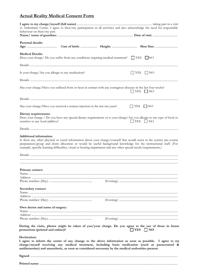#### **Actual Reality Medical Consent Form**

| to Ardentinny Centre. I agree to their/my participation in all activities and also acknowledge the need for responsible<br>behaviour on their/my part.                                                                                                                                                                                                                                     |                         |  |
|--------------------------------------------------------------------------------------------------------------------------------------------------------------------------------------------------------------------------------------------------------------------------------------------------------------------------------------------------------------------------------------------|-------------------------|--|
|                                                                                                                                                                                                                                                                                                                                                                                            |                         |  |
| Personal details:                                                                                                                                                                                                                                                                                                                                                                          |                         |  |
| <b>Medical Details:</b><br>Does your charge/ Do you suffer from any conditions requiring medical treatment? $\Box$ YES $\Box$ NO                                                                                                                                                                                                                                                           |                         |  |
|                                                                                                                                                                                                                                                                                                                                                                                            |                         |  |
| Is your charge/Are you allergic to any medication?                                                                                                                                                                                                                                                                                                                                         | $\Box$ YES $\Box$ NO    |  |
|                                                                                                                                                                                                                                                                                                                                                                                            |                         |  |
| Has your charge/Have you suffered from or been in contact with any contagious diseases in the last four weeks?                                                                                                                                                                                                                                                                             | $\Box$ YES $\Box$ NO    |  |
|                                                                                                                                                                                                                                                                                                                                                                                            |                         |  |
| Has your charge/Have you received a tetanus injection in the last ten years?                                                                                                                                                                                                                                                                                                               | $\Box$ YES $\Box$ NO    |  |
| Dietary requirements:<br>Does your charge / Do you have any special dietary requirements or is your charge/Are you allergic to any type of food or<br>sensitive to any food additive?                                                                                                                                                                                                      | $\Box$ YES $\Box$ NO    |  |
|                                                                                                                                                                                                                                                                                                                                                                                            |                         |  |
| Additional information:<br>Is there any other physical or social information about your charge/yourself that would assist in the centres pre-course<br>preparation/group and dorm allocation or would be useful background knowledge for the instructional staff. (For<br>example; specific learning difficulties, visual or hearing impairment and any other special needs/requirements.) |                         |  |
|                                                                                                                                                                                                                                                                                                                                                                                            |                         |  |
|                                                                                                                                                                                                                                                                                                                                                                                            |                         |  |
| Primary contact:                                                                                                                                                                                                                                                                                                                                                                           |                         |  |
|                                                                                                                                                                                                                                                                                                                                                                                            |                         |  |
|                                                                                                                                                                                                                                                                                                                                                                                            |                         |  |
| Secondary contact:                                                                                                                                                                                                                                                                                                                                                                         |                         |  |
|                                                                                                                                                                                                                                                                                                                                                                                            |                         |  |
|                                                                                                                                                                                                                                                                                                                                                                                            |                         |  |
| Own doctor and name of surgery:                                                                                                                                                                                                                                                                                                                                                            |                         |  |
|                                                                                                                                                                                                                                                                                                                                                                                            |                         |  |
|                                                                                                                                                                                                                                                                                                                                                                                            |                         |  |
| During the visits, photos might be taken of you/your charge. Do you agree to the use of those in future<br>promotions (printed and online)?                                                                                                                                                                                                                                                | $\exists$ YES $\Box$ NO |  |
| Declaration:<br>I agree to inform the centre of any change to the above information as soon as possible. I agree to my<br>charge/myself receiving any medical treatment, including basic medication (such as paracetamol &<br>antihistamine) and anaesthetic, as soon as considered necessary by the medical authorities present.                                                          |                         |  |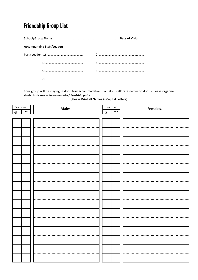## **Friendship Group List**

**School/Group Name**: ............................................................................. **Date of Visit:** ..........................................

#### **Accompanying Staff/Leaders**

Your group will be staying in dormitory accommodation. To help us allocate names to dorms please organise students (Name + Surname) into *friendship pairs.*

**(Please Print all Names in Capital Letters)**

| Centre use |     | Males. | Centre use   |     | Females. |  |
|------------|-----|--------|--------------|-----|----------|--|
| G          | Dor |        | $\mathsf{G}$ | Dor |          |  |
|            |     |        |              |     |          |  |
|            |     |        |              |     |          |  |
|            |     |        |              |     |          |  |
|            |     |        |              |     |          |  |
|            |     |        |              |     |          |  |
|            |     |        |              |     |          |  |
|            |     |        |              |     |          |  |
|            |     |        |              |     |          |  |
|            |     |        |              |     |          |  |
|            |     |        |              |     |          |  |
|            |     |        |              |     |          |  |
|            |     |        |              |     |          |  |
|            |     |        |              |     |          |  |
|            |     |        |              |     |          |  |
|            |     |        |              |     |          |  |
|            |     |        |              |     |          |  |
|            |     |        |              |     |          |  |
|            |     |        |              |     |          |  |
|            |     |        |              |     |          |  |
|            |     |        |              |     |          |  |
|            |     |        |              |     |          |  |
|            |     |        |              |     |          |  |
|            |     |        |              |     |          |  |
|            |     |        |              |     |          |  |
|            |     |        |              |     |          |  |
|            |     |        |              |     |          |  |
|            |     |        |              |     |          |  |
|            |     |        |              |     |          |  |
|            |     |        |              |     |          |  |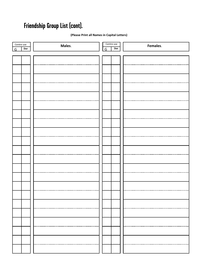## **Friendship Group List (cont).**

#### **(Please Print all Names in Capital Letters)**

| Centre use | Males. | Centre use | Females. |
|------------|--------|------------|----------|
| Dor<br>G   |        | Dor<br>G   |          |
|            |        |            |          |
|            |        |            |          |
|            |        |            |          |
|            |        |            |          |
|            |        |            |          |
|            |        |            |          |
|            |        |            |          |
|            |        |            |          |
|            |        |            |          |
|            |        |            |          |
|            |        |            |          |
|            |        |            |          |
|            |        |            |          |
|            |        |            |          |
|            |        |            |          |
|            |        |            |          |
|            |        |            |          |
|            |        |            |          |
|            |        |            |          |
|            |        |            |          |
|            |        |            |          |
|            |        |            |          |
|            |        |            |          |
|            |        |            |          |
|            |        |            |          |
|            |        |            |          |
|            |        |            |          |
|            |        |            |          |
|            |        |            |          |
|            |        |            |          |
|            |        |            |          |
|            |        |            |          |
|            |        |            |          |
|            |        |            |          |
|            |        |            |          |
|            |        |            |          |
|            |        |            |          |
|            |        |            |          |
|            |        |            |          |
|            |        |            |          |
|            |        |            |          |
|            |        |            |          |
|            |        |            |          |